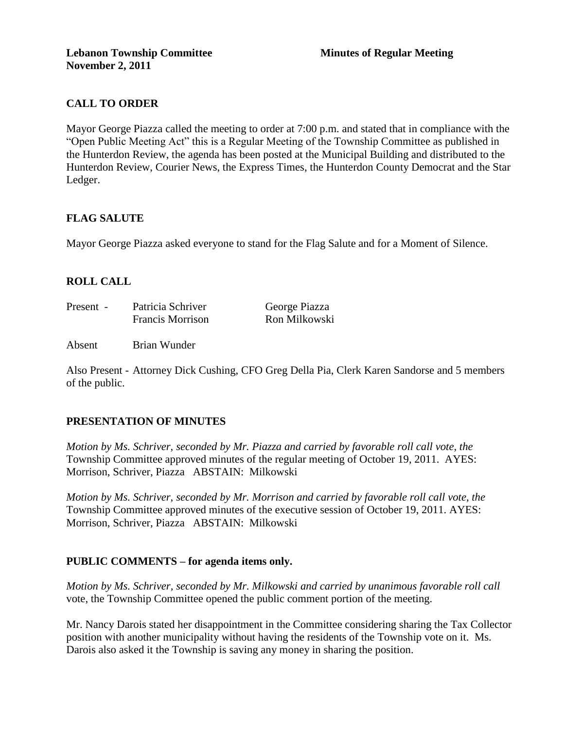# **CALL TO ORDER**

Mayor George Piazza called the meeting to order at 7:00 p.m. and stated that in compliance with the "Open Public Meeting Act" this is a Regular Meeting of the Township Committee as published in the Hunterdon Review, the agenda has been posted at the Municipal Building and distributed to the Hunterdon Review, Courier News, the Express Times, the Hunterdon County Democrat and the Star Ledger.

# **FLAG SALUTE**

Mayor George Piazza asked everyone to stand for the Flag Salute and for a Moment of Silence.

# **ROLL CALL**

| Present - | Patricia Schriver       | George Piazza |
|-----------|-------------------------|---------------|
|           | <b>Francis Morrison</b> | Ron Milkowski |

Absent Brian Wunder

Also Present - Attorney Dick Cushing, CFO Greg Della Pia, Clerk Karen Sandorse and 5 members of the public.

# **PRESENTATION OF MINUTES**

*Motion by Ms. Schriver, seconded by Mr. Piazza and carried by favorable roll call vote, the* Township Committee approved minutes of the regular meeting of October 19, 2011. AYES: Morrison, Schriver, Piazza ABSTAIN: Milkowski

*Motion by Ms. Schriver, seconded by Mr. Morrison and carried by favorable roll call vote, the* Township Committee approved minutes of the executive session of October 19, 2011. AYES: Morrison, Schriver, Piazza ABSTAIN: Milkowski

# **PUBLIC COMMENTS – for agenda items only.**

*Motion by Ms. Schriver, seconded by Mr. Milkowski and carried by unanimous favorable roll call*  vote, the Township Committee opened the public comment portion of the meeting.

Mr. Nancy Darois stated her disappointment in the Committee considering sharing the Tax Collector position with another municipality without having the residents of the Township vote on it. Ms. Darois also asked it the Township is saving any money in sharing the position.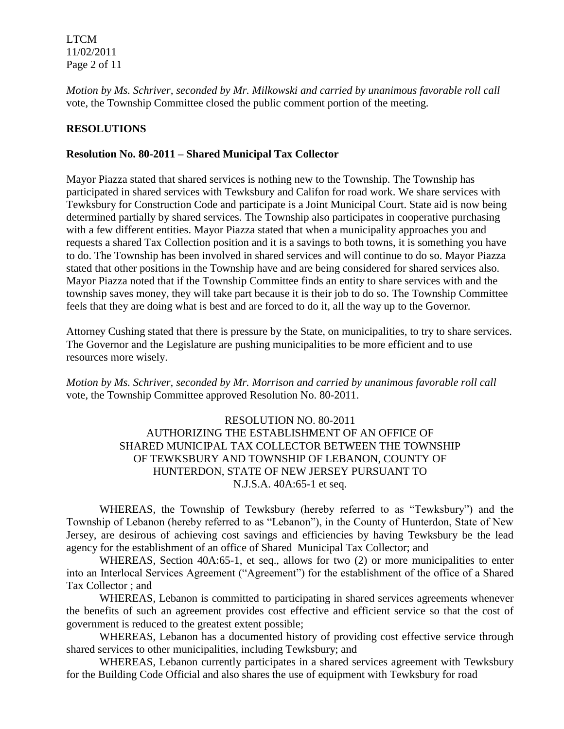LTCM 11/02/2011 Page 2 of 11

*Motion by Ms. Schriver, seconded by Mr. Milkowski and carried by unanimous favorable roll call*  vote, the Township Committee closed the public comment portion of the meeting.

## **RESOLUTIONS**

### **Resolution No. 80-2011 – Shared Municipal Tax Collector**

Mayor Piazza stated that shared services is nothing new to the Township. The Township has participated in shared services with Tewksbury and Califon for road work. We share services with Tewksbury for Construction Code and participate is a Joint Municipal Court. State aid is now being determined partially by shared services. The Township also participates in cooperative purchasing with a few different entities. Mayor Piazza stated that when a municipality approaches you and requests a shared Tax Collection position and it is a savings to both towns, it is something you have to do. The Township has been involved in shared services and will continue to do so. Mayor Piazza stated that other positions in the Township have and are being considered for shared services also. Mayor Piazza noted that if the Township Committee finds an entity to share services with and the township saves money, they will take part because it is their job to do so. The Township Committee feels that they are doing what is best and are forced to do it, all the way up to the Governor.

Attorney Cushing stated that there is pressure by the State, on municipalities, to try to share services. The Governor and the Legislature are pushing municipalities to be more efficient and to use resources more wisely.

*Motion by Ms. Schriver, seconded by Mr. Morrison and carried by unanimous favorable roll call*  vote, the Township Committee approved Resolution No. 80-2011.

# RESOLUTION NO. 80-2011 AUTHORIZING THE ESTABLISHMENT OF AN OFFICE OF SHARED MUNICIPAL TAX COLLECTOR BETWEEN THE TOWNSHIP OF TEWKSBURY AND TOWNSHIP OF LEBANON, COUNTY OF HUNTERDON, STATE OF NEW JERSEY PURSUANT TO N.J.S.A. 40A:65-1 et seq.

WHEREAS, the Township of Tewksbury (hereby referred to as "Tewksbury") and the Township of Lebanon (hereby referred to as "Lebanon"), in the County of Hunterdon, State of New Jersey, are desirous of achieving cost savings and efficiencies by having Tewksbury be the lead agency for the establishment of an office of Shared Municipal Tax Collector; and

WHEREAS, Section 40A:65-1, et seq., allows for two (2) or more municipalities to enter into an Interlocal Services Agreement ("Agreement") for the establishment of the office of a Shared Tax Collector ; and

WHEREAS, Lebanon is committed to participating in shared services agreements whenever the benefits of such an agreement provides cost effective and efficient service so that the cost of government is reduced to the greatest extent possible;

WHEREAS, Lebanon has a documented history of providing cost effective service through shared services to other municipalities, including Tewksbury; and

WHEREAS, Lebanon currently participates in a shared services agreement with Tewksbury for the Building Code Official and also shares the use of equipment with Tewksbury for road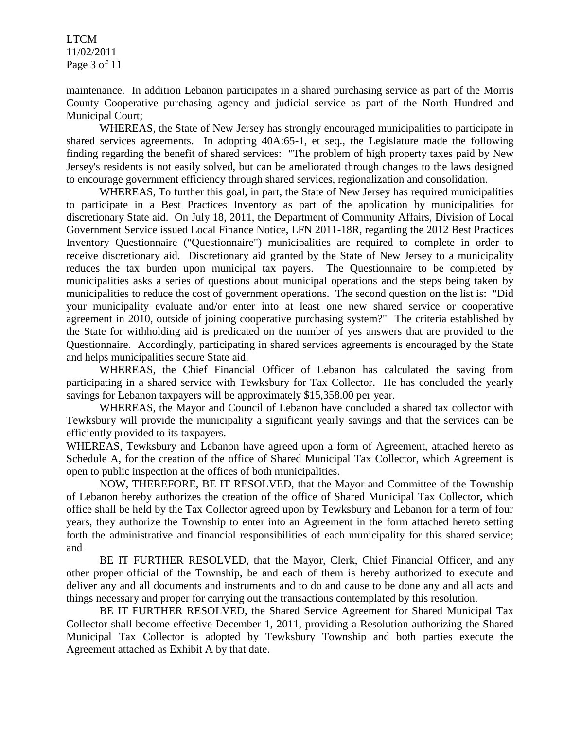LTCM 11/02/2011 Page 3 of 11

maintenance. In addition Lebanon participates in a shared purchasing service as part of the Morris County Cooperative purchasing agency and judicial service as part of the North Hundred and Municipal Court;

WHEREAS, the State of New Jersey has strongly encouraged municipalities to participate in shared services agreements. In adopting 40A:65-1, et seq., the Legislature made the following finding regarding the benefit of shared services: "The problem of high property taxes paid by New Jersey's residents is not easily solved, but can be ameliorated through changes to the laws designed to encourage government efficiency through shared services, regionalization and consolidation.

WHEREAS, To further this goal, in part, the State of New Jersey has required municipalities to participate in a Best Practices Inventory as part of the application by municipalities for discretionary State aid. On July 18, 2011, the Department of Community Affairs, Division of Local Government Service issued Local Finance Notice, LFN 2011-18R, regarding the 2012 Best Practices Inventory Questionnaire ("Questionnaire") municipalities are required to complete in order to receive discretionary aid. Discretionary aid granted by the State of New Jersey to a municipality reduces the tax burden upon municipal tax payers. The Questionnaire to be completed by municipalities asks a series of questions about municipal operations and the steps being taken by municipalities to reduce the cost of government operations. The second question on the list is: "Did your municipality evaluate and/or enter into at least one new shared service or cooperative agreement in 2010, outside of joining cooperative purchasing system?" The criteria established by the State for withholding aid is predicated on the number of yes answers that are provided to the Questionnaire. Accordingly, participating in shared services agreements is encouraged by the State and helps municipalities secure State aid.

WHEREAS, the Chief Financial Officer of Lebanon has calculated the saving from participating in a shared service with Tewksbury for Tax Collector. He has concluded the yearly savings for Lebanon taxpayers will be approximately \$15,358.00 per year.

WHEREAS, the Mayor and Council of Lebanon have concluded a shared tax collector with Tewksbury will provide the municipality a significant yearly savings and that the services can be efficiently provided to its taxpayers.

WHEREAS, Tewksbury and Lebanon have agreed upon a form of Agreement, attached hereto as Schedule A, for the creation of the office of Shared Municipal Tax Collector, which Agreement is open to public inspection at the offices of both municipalities.

NOW, THEREFORE, BE IT RESOLVED, that the Mayor and Committee of the Township of Lebanon hereby authorizes the creation of the office of Shared Municipal Tax Collector, which office shall be held by the Tax Collector agreed upon by Tewksbury and Lebanon for a term of four years, they authorize the Township to enter into an Agreement in the form attached hereto setting forth the administrative and financial responsibilities of each municipality for this shared service; and

BE IT FURTHER RESOLVED, that the Mayor, Clerk, Chief Financial Officer, and any other proper official of the Township, be and each of them is hereby authorized to execute and deliver any and all documents and instruments and to do and cause to be done any and all acts and things necessary and proper for carrying out the transactions contemplated by this resolution.

BE IT FURTHER RESOLVED, the Shared Service Agreement for Shared Municipal Tax Collector shall become effective December 1, 2011, providing a Resolution authorizing the Shared Municipal Tax Collector is adopted by Tewksbury Township and both parties execute the Agreement attached as Exhibit A by that date.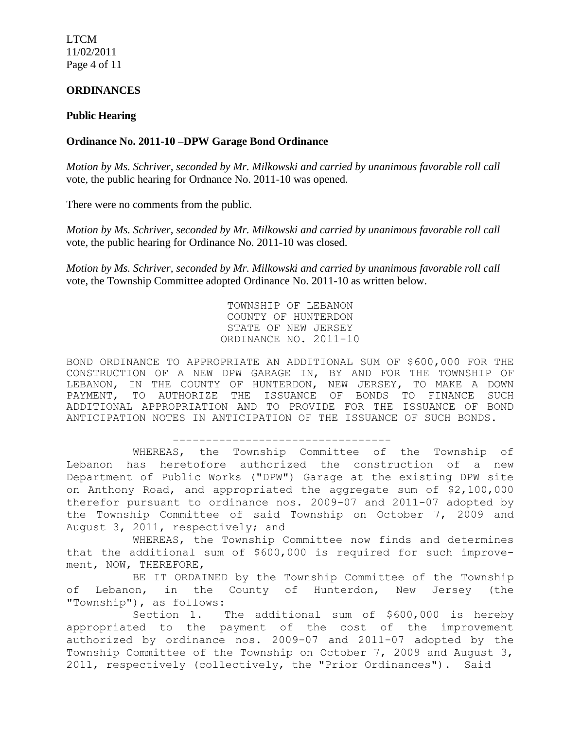LTCM 11/02/2011 Page 4 of 11

## **ORDINANCES**

### **Public Hearing**

### **Ordinance No. 2011-10 –DPW Garage Bond Ordinance**

*Motion by Ms. Schriver, seconded by Mr. Milkowski and carried by unanimous favorable roll call*  vote*,* the public hearing for Ordnance No. 2011-10 was opened.

There were no comments from the public.

*Motion by Ms. Schriver, seconded by Mr. Milkowski and carried by unanimous favorable roll call*  vote, the public hearing for Ordinance No. 2011-10 was closed.

*Motion by Ms. Schriver, seconded by Mr. Milkowski and carried by unanimous favorable roll call*  vote, the Township Committee adopted Ordinance No. 2011-10 as written below.

> TOWNSHIP OF LEBANON COUNTY OF HUNTERDON STATE OF NEW JERSEY ORDINANCE NO. 2011-10

BOND ORDINANCE TO APPROPRIATE AN ADDITIONAL SUM OF \$600,000 FOR THE CONSTRUCTION OF A NEW DPW GARAGE IN, BY AND FOR THE TOWNSHIP OF LEBANON, IN THE COUNTY OF HUNTERDON, NEW JERSEY, TO MAKE A DOWN PAYMENT, TO AUTHORIZE THE ISSUANCE OF BONDS TO FINANCE SUCH ADDITIONAL APPROPRIATION AND TO PROVIDE FOR THE ISSUANCE OF BOND ANTICIPATION NOTES IN ANTICIPATION OF THE ISSUANCE OF SUCH BONDS.

---------------------------------

WHEREAS, the Township Committee of the Township of Lebanon has heretofore authorized the construction of a new Department of Public Works ("DPW") Garage at the existing DPW site on Anthony Road, and appropriated the aggregate sum of \$2,100,000 therefor pursuant to ordinance nos. 2009-07 and 2011-07 adopted by the Township Committee of said Township on October 7, 2009 and August 3, 2011, respectively; and

WHEREAS, the Township Committee now finds and determines that the additional sum of \$600,000 is required for such improvement, NOW, THEREFORE,

BE IT ORDAINED by the Township Committee of the Township of Lebanon, in the County of Hunterdon, New Jersey (the "Township"), as follows:

Section 1. The additional sum of \$600,000 is hereby appropriated to the payment of the cost of the improvement authorized by ordinance nos. 2009-07 and 2011-07 adopted by the Township Committee of the Township on October 7, 2009 and August 3, 2011, respectively (collectively, the "Prior Ordinances"). Said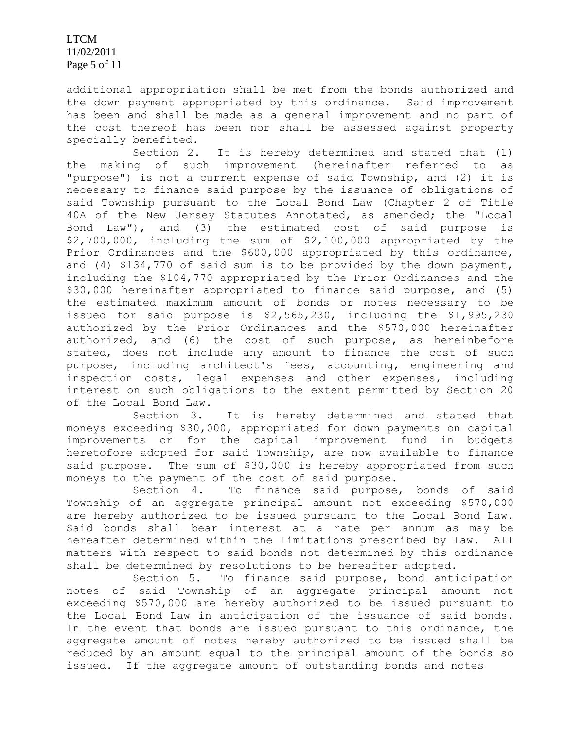LTCM 11/02/2011 Page 5 of 11

additional appropriation shall be met from the bonds authorized and the down payment appropriated by this ordinance. Said improvement has been and shall be made as a general improvement and no part of the cost thereof has been nor shall be assessed against property specially benefited.

Section 2. It is hereby determined and stated that (1) the making of such improvement (hereinafter referred to as "purpose") is not a current expense of said Township, and (2) it is necessary to finance said purpose by the issuance of obligations of said Township pursuant to the Local Bond Law (Chapter 2 of Title 40A of the New Jersey Statutes Annotated, as amended; the "Local Bond Law"), and (3) the estimated cost of said purpose is \$2,700,000, including the sum of \$2,100,000 appropriated by the Prior Ordinances and the \$600,000 appropriated by this ordinance, and (4) \$134,770 of said sum is to be provided by the down payment, including the \$104,770 appropriated by the Prior Ordinances and the \$30,000 hereinafter appropriated to finance said purpose, and (5) the estimated maximum amount of bonds or notes necessary to be issued for said purpose is \$2,565,230, including the \$1,995,230 authorized by the Prior Ordinances and the \$570,000 hereinafter authorized, and (6) the cost of such purpose, as hereinbefore stated, does not include any amount to finance the cost of such purpose, including architect's fees, accounting, engineering and inspection costs, legal expenses and other expenses, including interest on such obligations to the extent permitted by Section 20 of the Local Bond Law.

Section 3. It is hereby determined and stated that moneys exceeding \$30,000, appropriated for down payments on capital improvements or for the capital improvement fund in budgets heretofore adopted for said Township, are now available to finance said purpose. The sum of \$30,000 is hereby appropriated from such moneys to the payment of the cost of said purpose.

Section 4. To finance said purpose, bonds of said Township of an aggregate principal amount not exceeding \$570,000 are hereby authorized to be issued pursuant to the Local Bond Law. Said bonds shall bear interest at a rate per annum as may be hereafter determined within the limitations prescribed by law. All matters with respect to said bonds not determined by this ordinance shall be determined by resolutions to be hereafter adopted.

Section 5. To finance said purpose, bond anticipation notes of said Township of an aggregate principal amount not exceeding \$570,000 are hereby authorized to be issued pursuant to the Local Bond Law in anticipation of the issuance of said bonds. In the event that bonds are issued pursuant to this ordinance, the aggregate amount of notes hereby authorized to be issued shall be reduced by an amount equal to the principal amount of the bonds so issued. If the aggregate amount of outstanding bonds and notes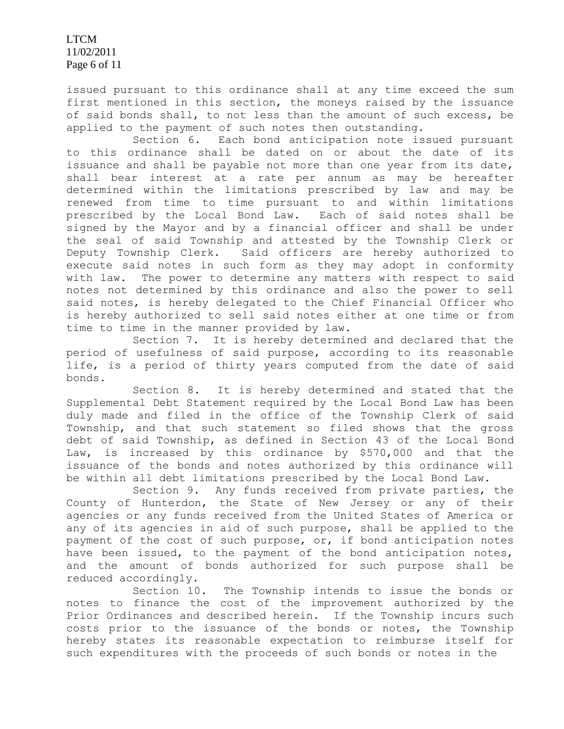LTCM 11/02/2011 Page 6 of 11

issued pursuant to this ordinance shall at any time exceed the sum first mentioned in this section, the moneys raised by the issuance of said bonds shall, to not less than the amount of such excess, be applied to the payment of such notes then outstanding.

Section 6. Each bond anticipation note issued pursuant to this ordinance shall be dated on or about the date of its issuance and shall be payable not more than one year from its date, shall bear interest at a rate per annum as may be hereafter determined within the limitations prescribed by law and may be renewed from time to time pursuant to and within limitations prescribed by the Local Bond Law. Each of said notes shall be signed by the Mayor and by a financial officer and shall be under the seal of said Township and attested by the Township Clerk or Deputy Township Clerk. Said officers are hereby authorized to execute said notes in such form as they may adopt in conformity with law. The power to determine any matters with respect to said notes not determined by this ordinance and also the power to sell said notes, is hereby delegated to the Chief Financial Officer who is hereby authorized to sell said notes either at one time or from time to time in the manner provided by law.

Section 7. It is hereby determined and declared that the period of usefulness of said purpose, according to its reasonable life, is a period of thirty years computed from the date of said bonds.

Section 8. It is hereby determined and stated that the Supplemental Debt Statement required by the Local Bond Law has been duly made and filed in the office of the Township Clerk of said Township, and that such statement so filed shows that the gross debt of said Township, as defined in Section 43 of the Local Bond Law, is increased by this ordinance by \$570,000 and that the issuance of the bonds and notes authorized by this ordinance will be within all debt limitations prescribed by the Local Bond Law.

Section 9. Any funds received from private parties, the County of Hunterdon, the State of New Jersey or any of their agencies or any funds received from the United States of America or any of its agencies in aid of such purpose, shall be applied to the payment of the cost of such purpose, or, if bond anticipation notes have been issued, to the payment of the bond anticipation notes, and the amount of bonds authorized for such purpose shall be reduced accordingly.

Section 10. The Township intends to issue the bonds or notes to finance the cost of the improvement authorized by the Prior Ordinances and described herein. If the Township incurs such costs prior to the issuance of the bonds or notes, the Township hereby states its reasonable expectation to reimburse itself for such expenditures with the proceeds of such bonds or notes in the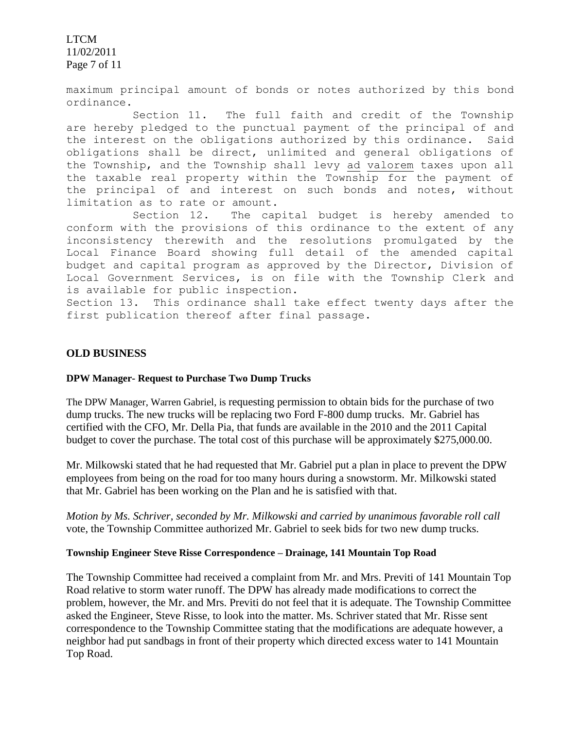LTCM 11/02/2011 Page 7 of 11

maximum principal amount of bonds or notes authorized by this bond ordinance.

Section 11. The full faith and credit of the Township are hereby pledged to the punctual payment of the principal of and the interest on the obligations authorized by this ordinance. Said obligations shall be direct, unlimited and general obligations of the Township, and the Township shall levy ad valorem taxes upon all the taxable real property within the Township for the payment of the principal of and interest on such bonds and notes, without limitation as to rate or amount.

Section 12. The capital budget is hereby amended to conform with the provisions of this ordinance to the extent of any inconsistency therewith and the resolutions promulgated by the Local Finance Board showing full detail of the amended capital budget and capital program as approved by the Director, Division of Local Government Services, is on file with the Township Clerk and is available for public inspection.

Section 13. This ordinance shall take effect twenty days after the first publication thereof after final passage.

### **OLD BUSINESS**

### **DPW Manager- Request to Purchase Two Dump Trucks**

The DPW Manager, Warren Gabriel, is requesting permission to obtain bids for the purchase of two dump trucks. The new trucks will be replacing two Ford F-800 dump trucks. Mr. Gabriel has certified with the CFO, Mr. Della Pia, that funds are available in the 2010 and the 2011 Capital budget to cover the purchase. The total cost of this purchase will be approximately \$275,000.00.

Mr. Milkowski stated that he had requested that Mr. Gabriel put a plan in place to prevent the DPW employees from being on the road for too many hours during a snowstorm. Mr. Milkowski stated that Mr. Gabriel has been working on the Plan and he is satisfied with that.

*Motion by Ms. Schriver, seconded by Mr. Milkowski and carried by unanimous favorable roll call*  vote, the Township Committee authorized Mr. Gabriel to seek bids for two new dump trucks.

#### **Township Engineer Steve Risse Correspondence – Drainage, 141 Mountain Top Road**

The Township Committee had received a complaint from Mr. and Mrs. Previti of 141 Mountain Top Road relative to storm water runoff. The DPW has already made modifications to correct the problem, however, the Mr. and Mrs. Previti do not feel that it is adequate. The Township Committee asked the Engineer, Steve Risse, to look into the matter. Ms. Schriver stated that Mr. Risse sent correspondence to the Township Committee stating that the modifications are adequate however, a neighbor had put sandbags in front of their property which directed excess water to 141 Mountain Top Road.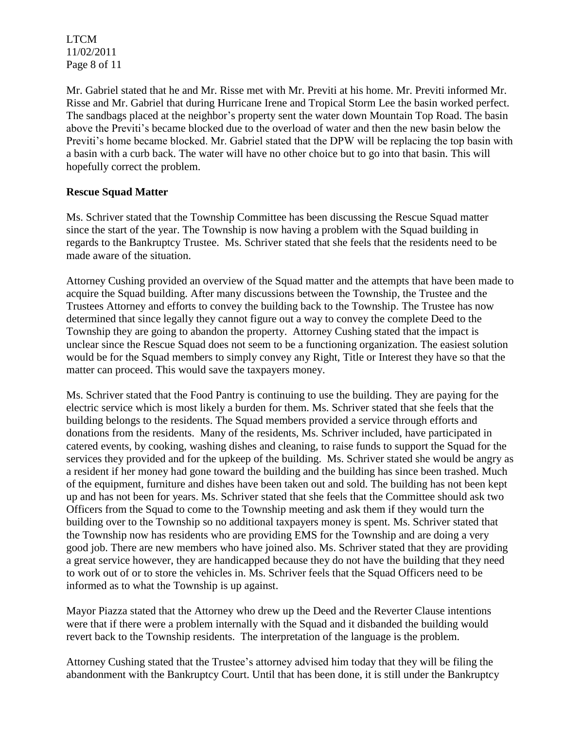LTCM 11/02/2011 Page 8 of 11

Mr. Gabriel stated that he and Mr. Risse met with Mr. Previti at his home. Mr. Previti informed Mr. Risse and Mr. Gabriel that during Hurricane Irene and Tropical Storm Lee the basin worked perfect. The sandbags placed at the neighbor's property sent the water down Mountain Top Road. The basin above the Previti's became blocked due to the overload of water and then the new basin below the Previti's home became blocked. Mr. Gabriel stated that the DPW will be replacing the top basin with a basin with a curb back. The water will have no other choice but to go into that basin. This will hopefully correct the problem.

## **Rescue Squad Matter**

Ms. Schriver stated that the Township Committee has been discussing the Rescue Squad matter since the start of the year. The Township is now having a problem with the Squad building in regards to the Bankruptcy Trustee. Ms. Schriver stated that she feels that the residents need to be made aware of the situation.

Attorney Cushing provided an overview of the Squad matter and the attempts that have been made to acquire the Squad building. After many discussions between the Township, the Trustee and the Trustees Attorney and efforts to convey the building back to the Township. The Trustee has now determined that since legally they cannot figure out a way to convey the complete Deed to the Township they are going to abandon the property. Attorney Cushing stated that the impact is unclear since the Rescue Squad does not seem to be a functioning organization. The easiest solution would be for the Squad members to simply convey any Right, Title or Interest they have so that the matter can proceed. This would save the taxpayers money.

Ms. Schriver stated that the Food Pantry is continuing to use the building. They are paying for the electric service which is most likely a burden for them. Ms. Schriver stated that she feels that the building belongs to the residents. The Squad members provided a service through efforts and donations from the residents. Many of the residents, Ms. Schriver included, have participated in catered events, by cooking, washing dishes and cleaning, to raise funds to support the Squad for the services they provided and for the upkeep of the building. Ms. Schriver stated she would be angry as a resident if her money had gone toward the building and the building has since been trashed. Much of the equipment, furniture and dishes have been taken out and sold. The building has not been kept up and has not been for years. Ms. Schriver stated that she feels that the Committee should ask two Officers from the Squad to come to the Township meeting and ask them if they would turn the building over to the Township so no additional taxpayers money is spent. Ms. Schriver stated that the Township now has residents who are providing EMS for the Township and are doing a very good job. There are new members who have joined also. Ms. Schriver stated that they are providing a great service however, they are handicapped because they do not have the building that they need to work out of or to store the vehicles in. Ms. Schriver feels that the Squad Officers need to be informed as to what the Township is up against.

Mayor Piazza stated that the Attorney who drew up the Deed and the Reverter Clause intentions were that if there were a problem internally with the Squad and it disbanded the building would revert back to the Township residents. The interpretation of the language is the problem.

Attorney Cushing stated that the Trustee's attorney advised him today that they will be filing the abandonment with the Bankruptcy Court. Until that has been done, it is still under the Bankruptcy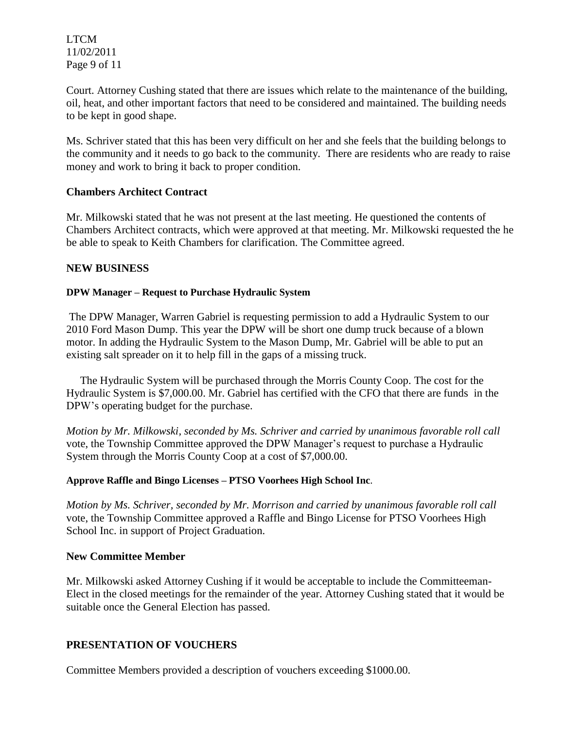LTCM 11/02/2011 Page 9 of 11

Court. Attorney Cushing stated that there are issues which relate to the maintenance of the building, oil, heat, and other important factors that need to be considered and maintained. The building needs to be kept in good shape.

Ms. Schriver stated that this has been very difficult on her and she feels that the building belongs to the community and it needs to go back to the community. There are residents who are ready to raise money and work to bring it back to proper condition.

## **Chambers Architect Contract**

Mr. Milkowski stated that he was not present at the last meeting. He questioned the contents of Chambers Architect contracts, which were approved at that meeting. Mr. Milkowski requested the he be able to speak to Keith Chambers for clarification. The Committee agreed.

## **NEW BUSINESS**

### **DPW Manager – Request to Purchase Hydraulic System**

The DPW Manager, Warren Gabriel is requesting permission to add a Hydraulic System to our 2010 Ford Mason Dump. This year the DPW will be short one dump truck because of a blown motor. In adding the Hydraulic System to the Mason Dump, Mr. Gabriel will be able to put an existing salt spreader on it to help fill in the gaps of a missing truck.

 The Hydraulic System will be purchased through the Morris County Coop. The cost for the Hydraulic System is \$7,000.00. Mr. Gabriel has certified with the CFO that there are funds in the DPW's operating budget for the purchase.

*Motion by Mr. Milkowski, seconded by Ms. Schriver and carried by unanimous favorable roll call*  vote, the Township Committee approved the DPW Manager's request to purchase a Hydraulic System through the Morris County Coop at a cost of \$7,000.00.

### **Approve Raffle and Bingo Licenses – PTSO Voorhees High School Inc**.

*Motion by Ms. Schriver, seconded by Mr. Morrison and carried by unanimous favorable roll call*  vote, the Township Committee approved a Raffle and Bingo License for PTSO Voorhees High School Inc. in support of Project Graduation.

### **New Committee Member**

Mr. Milkowski asked Attorney Cushing if it would be acceptable to include the Committeeman-Elect in the closed meetings for the remainder of the year. Attorney Cushing stated that it would be suitable once the General Election has passed.

# **PRESENTATION OF VOUCHERS**

Committee Members provided a description of vouchers exceeding \$1000.00.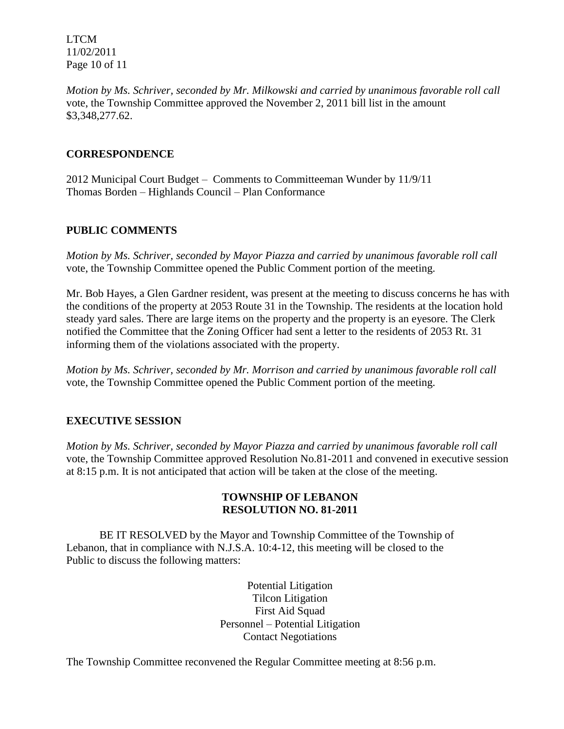LTCM 11/02/2011 Page 10 of 11

*Motion by Ms. Schriver, seconded by Mr. Milkowski and carried by unanimous favorable roll call*  vote, the Township Committee approved the November 2, 2011 bill list in the amount \$3,348,277.62.

# **CORRESPONDENCE**

2012 Municipal Court Budget – Comments to Committeeman Wunder by 11/9/11 Thomas Borden – Highlands Council – Plan Conformance

# **PUBLIC COMMENTS**

*Motion by Ms. Schriver, seconded by Mayor Piazza and carried by unanimous favorable roll call*  vote, the Township Committee opened the Public Comment portion of the meeting.

Mr. Bob Hayes, a Glen Gardner resident, was present at the meeting to discuss concerns he has with the conditions of the property at 2053 Route 31 in the Township. The residents at the location hold steady yard sales. There are large items on the property and the property is an eyesore. The Clerk notified the Committee that the Zoning Officer had sent a letter to the residents of 2053 Rt. 31 informing them of the violations associated with the property.

*Motion by Ms. Schriver, seconded by Mr. Morrison and carried by unanimous favorable roll call*  vote, the Township Committee opened the Public Comment portion of the meeting.

# **EXECUTIVE SESSION**

*Motion by Ms. Schriver, seconded by Mayor Piazza and carried by unanimous favorable roll call*  vote, the Township Committee approved Resolution No.81-2011 and convened in executive session at 8:15 p.m. It is not anticipated that action will be taken at the close of the meeting.

# **TOWNSHIP OF LEBANON RESOLUTION NO. 81-2011**

BE IT RESOLVED by the Mayor and Township Committee of the Township of Lebanon, that in compliance with N.J.S.A. 10:4-12, this meeting will be closed to the Public to discuss the following matters:

> Potential Litigation Tilcon Litigation First Aid Squad Personnel – Potential Litigation Contact Negotiations

The Township Committee reconvened the Regular Committee meeting at 8:56 p.m.